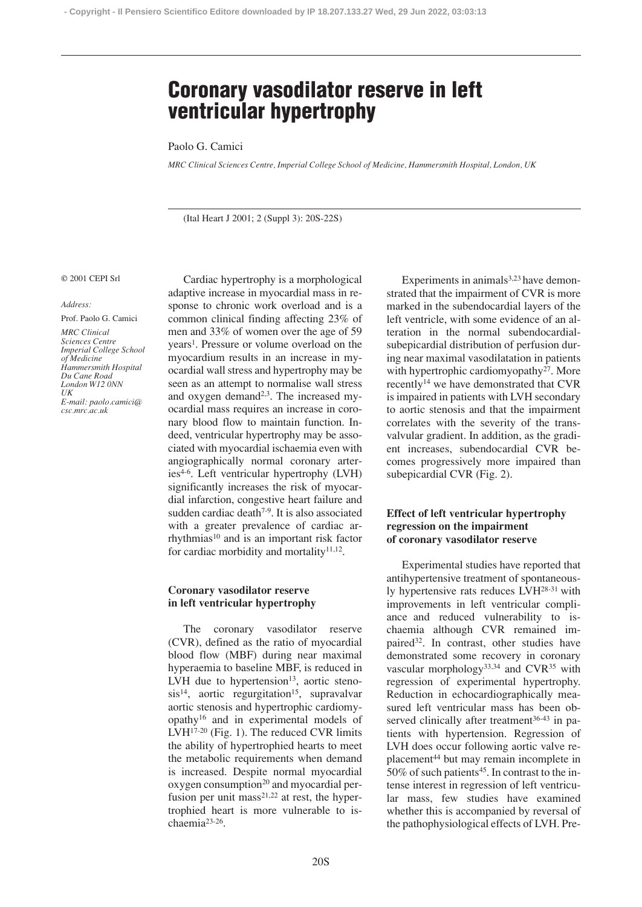# **Coronary vasodilator reserve in left ventricular hypertrophy**

Paolo G. Camici

*MRC Clinical Sciences Centre, Imperial College School of Medicine, Hammersmith Hospital, London, UK*

(Ital Heart J 2001; 2 (Suppl 3): 20S-22S)

#### © 2001 CEPI Srl

#### *Address:*

Prof. Paolo G. Camici

*MRC Clinical Sciences Centre Imperial College School of Medicine Hammersmith Hospital Du Cane Road London W12 0NN UK E-mail: paolo.camici@ csc.mrc.ac.uk*

Cardiac hypertrophy is a morphological adaptive increase in myocardial mass in response to chronic work overload and is a common clinical finding affecting 23% of men and 33% of women over the age of 59 years1. Pressure or volume overload on the myocardium results in an increase in myocardial wall stress and hypertrophy may be seen as an attempt to normalise wall stress and oxygen demand<sup>2,3</sup>. The increased myocardial mass requires an increase in coronary blood flow to maintain function. Indeed, ventricular hypertrophy may be associated with myocardial ischaemia even with angiographically normal coronary arteries4-6. Left ventricular hypertrophy (LVH) significantly increases the risk of myocardial infarction, congestive heart failure and sudden cardiac death<sup>7-9</sup>. It is also associated with a greater prevalence of cardiac arrhythmias<sup>10</sup> and is an important risk factor for cardiac morbidity and mortality $11,12$ .

## **Coronary vasodilator reserve in left ventricular hypertrophy**

The coronary vasodilator reserve (CVR), defined as the ratio of myocardial blood flow (MBF) during near maximal hyperaemia to baseline MBF, is reduced in LVH due to hypertension<sup>13</sup>, aortic steno $sis^{14}$ , aortic regurgitation<sup>15</sup>, supravalvar aortic stenosis and hypertrophic cardiomyopathy16 and in experimental models of LVH17-20 (Fig. 1). The reduced CVR limits the ability of hypertrophied hearts to meet the metabolic requirements when demand is increased. Despite normal myocardial oxygen consumption<sup>20</sup> and myocardial perfusion per unit mass $2^{1,22}$  at rest, the hypertrophied heart is more vulnerable to ischaemia23-26.

Experiments in animals $3,23$  have demonstrated that the impairment of CVR is more marked in the subendocardial layers of the left ventricle, with some evidence of an alteration in the normal subendocardialsubepicardial distribution of perfusion during near maximal vasodilatation in patients with hypertrophic cardiomyopathy<sup>27</sup>. More recently14 we have demonstrated that CVR is impaired in patients with LVH secondary to aortic stenosis and that the impairment correlates with the severity of the transvalvular gradient. In addition, as the gradient increases, subendocardial CVR becomes progressively more impaired than subepicardial CVR (Fig. 2).

## **Effect of left ventricular hypertrophy regression on the impairment of coronary vasodilator reserve**

Experimental studies have reported that antihypertensive treatment of spontaneously hypertensive rats reduces LVH28-31 with improvements in left ventricular compliance and reduced vulnerability to ischaemia although CVR remained impaired<sup>32</sup>. In contrast, other studies have demonstrated some recovery in coronary vascular morphology<sup>33,34</sup> and CVR<sup>35</sup> with regression of experimental hypertrophy. Reduction in echocardiographically measured left ventricular mass has been observed clinically after treatment $36-43$  in patients with hypertension. Regression of LVH does occur following aortic valve replacement<sup>44</sup> but may remain incomplete in  $50\%$  of such patients<sup>45</sup>. In contrast to the intense interest in regression of left ventricular mass, few studies have examined whether this is accompanied by reversal of the pathophysiological effects of LVH. Pre-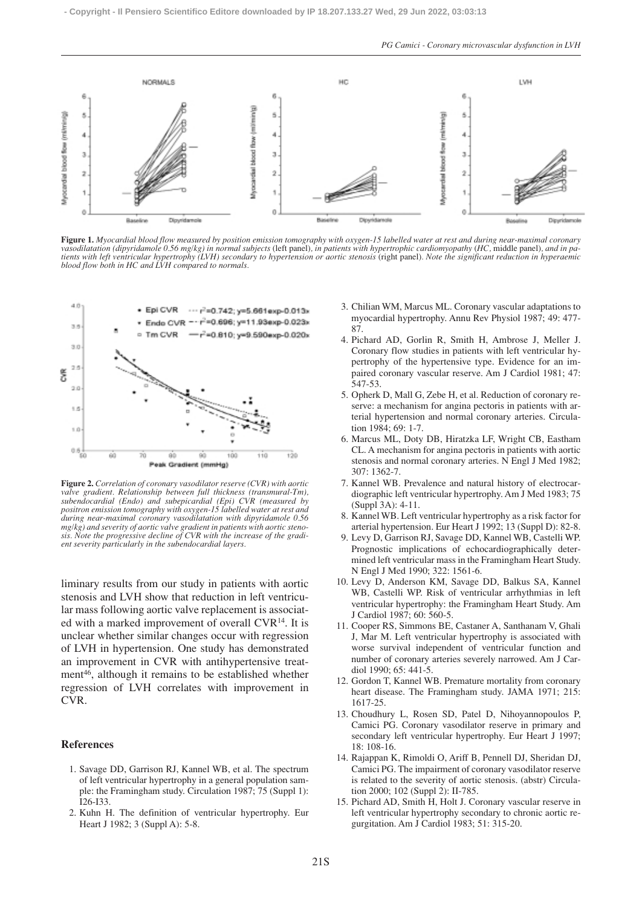

**Figure 1.** *Myocardial blood flow measured by position emission tomography with oxygen-15 labelled water at rest and during near-maximal coronary vasodilatation (dipyridamole 0.56 mg/kg) in normal subjects* (left panel)*, in patients with hypertrophic cardiomyopathy* (*HC,* middle panel)*, and in patients with left ventricular hypertrophy (LVH) secondary to hypertension or aortic stenosis* (right panel)*. Note the significant reduction in hyperaemic blood flow both in HC and LVH compared to normals.*



**Figure 2.** *Correlation of coronary vasodilator reserve (CVR) with aortic valve gradient. Relationship between full thickness (transmural-Tm), subendocardial (Endo) and subepicardial (Epi) CVR (measured by positron emission tomography with oxygen-15 labelled water at rest and during near-maximal coronary vasodilatation with dipyridamole 0.56 mg/kg) and severity of aortic valve gradient in patients with aortic stenosis. Note the progressive decline of CVR with the increase of the gradient severity particularly in the subendocardial layers.*

liminary results from our study in patients with aortic stenosis and LVH show that reduction in left ventricular mass following aortic valve replacement is associated with a marked improvement of overall CVR14. It is unclear whether similar changes occur with regression of LVH in hypertension. One study has demonstrated an improvement in CVR with antihypertensive treatment46, although it remains to be established whether regression of LVH correlates with improvement in CVR.

### **References**

- 1. Savage DD, Garrison RJ, Kannel WB, et al. The spectrum of left ventricular hypertrophy in a general population sample: the Framingham study. Circulation 1987; 75 (Suppl 1): I26-I33.
- 2. Kuhn H. The definition of ventricular hypertrophy. Eur Heart J 1982; 3 (Suppl A): 5-8.
- 3. Chilian WM, Marcus ML. Coronary vascular adaptations to myocardial hypertrophy. Annu Rev Physiol 1987; 49: 477- 87.
- 4. Pichard AD, Gorlin R, Smith H, Ambrose J, Meller J. Coronary flow studies in patients with left ventricular hypertrophy of the hypertensive type. Evidence for an impaired coronary vascular reserve. Am J Cardiol 1981; 47: 547-53.
- 5. Opherk D, Mall G, Zebe H, et al. Reduction of coronary reserve: a mechanism for angina pectoris in patients with arterial hypertension and normal coronary arteries. Circulation 1984; 69: 1-7.
- 6. Marcus ML, Doty DB, Hiratzka LF, Wright CB, Eastham CL. A mechanism for angina pectoris in patients with aortic stenosis and normal coronary arteries. N Engl J Med 1982; 307: 1362-7.
- 7. Kannel WB. Prevalence and natural history of electrocardiographic left ventricular hypertrophy. Am J Med 1983; 75 (Suppl 3A): 4-11.
- 8. Kannel WB. Left ventricular hypertrophy as a risk factor for arterial hypertension. Eur Heart J 1992; 13 (Suppl D): 82-8.
- 9. Levy D, Garrison RJ, Savage DD, Kannel WB, Castelli WP. Prognostic implications of echocardiographically determined left ventricular mass in the Framingham Heart Study. N Engl J Med 1990; 322: 1561-6.
- 10. Levy D, Anderson KM, Savage DD, Balkus SA, Kannel WB, Castelli WP. Risk of ventricular arrhythmias in left ventricular hypertrophy: the Framingham Heart Study. Am J Cardiol 1987; 60: 560-5.
- 11. Cooper RS, Simmons BE, Castaner A, Santhanam V, Ghali J, Mar M. Left ventricular hypertrophy is associated with worse survival independent of ventricular function and number of coronary arteries severely narrowed. Am J Cardiol 1990; 65: 441-5.
- 12. Gordon T, Kannel WB. Premature mortality from coronary heart disease. The Framingham study. JAMA 1971; 215: 1617-25.
- 13. Choudhury L, Rosen SD, Patel D, Nihoyannopoulos P, Camici PG. Coronary vasodilator reserve in primary and secondary left ventricular hypertrophy. Eur Heart J 1997; 18: 108-16.
- 14. Rajappan K, Rimoldi O, Ariff B, Pennell DJ, Sheridan DJ, Camici PG. The impairment of coronary vasodilator reserve is related to the severity of aortic stenosis. (abstr) Circulation 2000; 102 (Suppl 2): II-785.
- 15. Pichard AD, Smith H, Holt J. Coronary vascular reserve in left ventricular hypertrophy secondary to chronic aortic regurgitation. Am J Cardiol 1983; 51: 315-20.